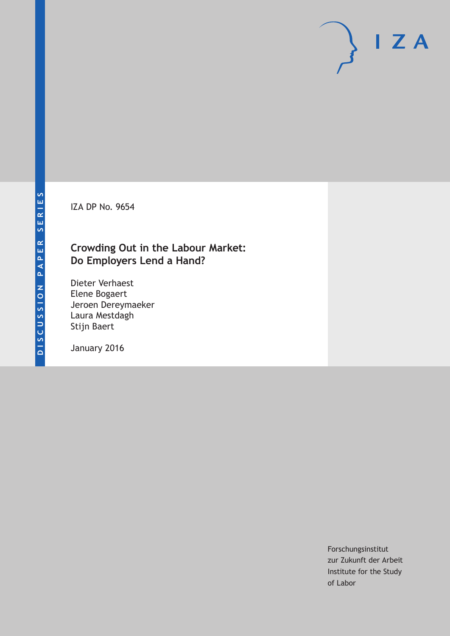IZA DP No. 9654

## **Crowding Out in the Labour Market: Do Employers Lend a Hand?**

Dieter Verhaest Elene Bogaert Jeroen Dereymaeker Laura Mestdagh Stijn Baert

January 2016

Forschungsinstitut zur Zukunft der Arbeit Institute for the Study of Labor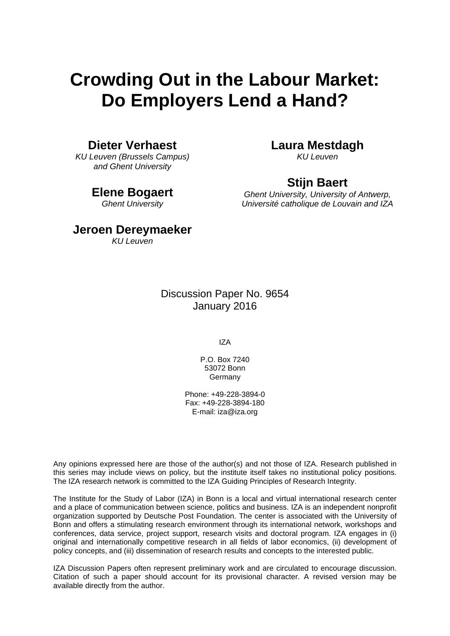# **Crowding Out in the Labour Market: Do Employers Lend a Hand?**

## **Dieter Verhaest**

*KU Leuven (Brussels Campus) and Ghent University* 

### **Elene Bogaert**

*Ghent University* 

## **Laura Mestdagh**

*KU Leuven* 

## **Stijn Baert**

*Ghent University, University of Antwerp, Université catholique de Louvain and IZA*

## **Jeroen Dereymaeker**

*KU Leuven*

## Discussion Paper No. 9654 January 2016

IZA

P.O. Box 7240 53072 Bonn Germany

Phone: +49-228-3894-0 Fax: +49-228-3894-180 E-mail: iza@iza.org

Any opinions expressed here are those of the author(s) and not those of IZA. Research published in this series may include views on policy, but the institute itself takes no institutional policy positions. The IZA research network is committed to the IZA Guiding Principles of Research Integrity.

The Institute for the Study of Labor (IZA) in Bonn is a local and virtual international research center and a place of communication between science, politics and business. IZA is an independent nonprofit organization supported by Deutsche Post Foundation. The center is associated with the University of Bonn and offers a stimulating research environment through its international network, workshops and conferences, data service, project support, research visits and doctoral program. IZA engages in (i) original and internationally competitive research in all fields of labor economics, (ii) development of policy concepts, and (iii) dissemination of research results and concepts to the interested public.

IZA Discussion Papers often represent preliminary work and are circulated to encourage discussion. Citation of such a paper should account for its provisional character. A revised version may be available directly from the author.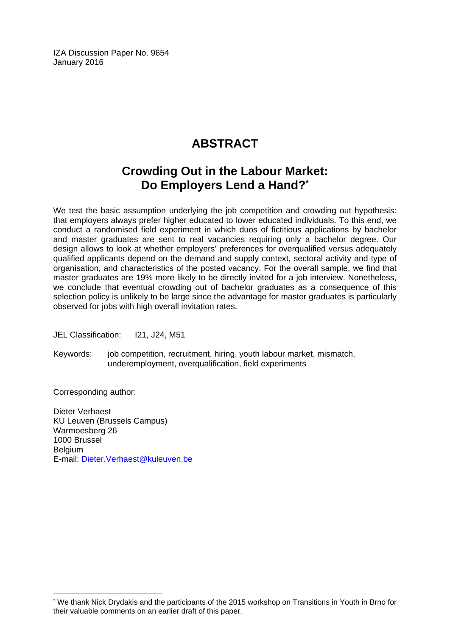IZA Discussion Paper No. 9654 January 2016

## **ABSTRACT**

## **Crowding Out in the Labour Market: Do Employers Lend a Hand?\***

We test the basic assumption underlying the job competition and crowding out hypothesis: that employers always prefer higher educated to lower educated individuals. To this end, we conduct a randomised field experiment in which duos of fictitious applications by bachelor and master graduates are sent to real vacancies requiring only a bachelor degree. Our design allows to look at whether employers' preferences for overqualified versus adequately qualified applicants depend on the demand and supply context, sectoral activity and type of organisation, and characteristics of the posted vacancy. For the overall sample, we find that master graduates are 19% more likely to be directly invited for a job interview. Nonetheless, we conclude that eventual crowding out of bachelor graduates as a consequence of this selection policy is unlikely to be large since the advantage for master graduates is particularly observed for jobs with high overall invitation rates.

JEL Classification: I21, J24, M51

Keywords: job competition, recruitment, hiring, youth labour market, mismatch, underemployment, overqualification, field experiments

Corresponding author:

 $\overline{a}$ 

Dieter Verhaest KU Leuven (Brussels Campus) Warmoesberg 26 1000 Brussel **Belgium** E-mail: Dieter.Verhaest@kuleuven.be

<sup>\*</sup> We thank Nick Drydakis and the participants of the 2015 workshop on Transitions in Youth in Brno for their valuable comments on an earlier draft of this paper.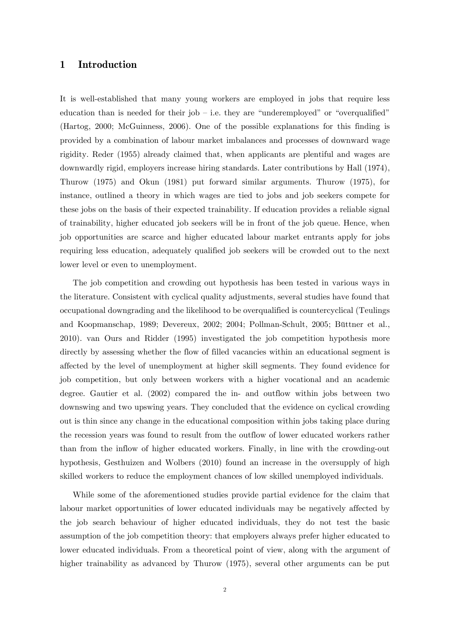### **1 Introduction**

It is well-established that many young workers are employed in jobs that require less education than is needed for their job – i.e. they are "underemployed" or "overqualified" (Hartog, 2000; McGuinness, 2006). One of the possible explanations for this finding is provided by a combination of labour market imbalances and processes of downward wage rigidity. Reder (1955) already claimed that, when applicants are plentiful and wages are downwardly rigid, employers increase hiring standards. Later contributions by Hall (1974), Thurow (1975) and Okun (1981) put forward similar arguments. Thurow (1975), for instance, outlined a theory in which wages are tied to jobs and job seekers compete for these jobs on the basis of their expected trainability. If education provides a reliable signal of trainability, higher educated job seekers will be in front of the job queue. Hence, when job opportunities are scarce and higher educated labour market entrants apply for jobs requiring less education, adequately qualified job seekers will be crowded out to the next lower level or even to unemployment.

The job competition and crowding out hypothesis has been tested in various ways in the literature. Consistent with cyclical quality adjustments, several studies have found that occupational downgrading and the likelihood to be overqualified is countercyclical (Teulings and Koopmanschap, 1989; Devereux, 2002; 2004; Pollman-Schult, 2005; Büttner et al., 2010). van Ours and Ridder (1995) investigated the job competition hypothesis more directly by assessing whether the flow of filled vacancies within an educational segment is affected by the level of unemployment at higher skill segments. They found evidence for job competition, but only between workers with a higher vocational and an academic degree. Gautier et al. (2002) compared the in- and outflow within jobs between two downswing and two upswing years. They concluded that the evidence on cyclical crowding out is thin since any change in the educational composition within jobs taking place during the recession years was found to result from the outflow of lower educated workers rather than from the inflow of higher educated workers. Finally, in line with the crowding-out hypothesis, Gesthuizen and Wolbers (2010) found an increase in the oversupply of high skilled workers to reduce the employment chances of low skilled unemployed individuals.

While some of the aforementioned studies provide partial evidence for the claim that labour market opportunities of lower educated individuals may be negatively affected by the job search behaviour of higher educated individuals, they do not test the basic assumption of the job competition theory: that employers always prefer higher educated to lower educated individuals. From a theoretical point of view, along with the argument of higher trainability as advanced by Thurow (1975), several other arguments can be put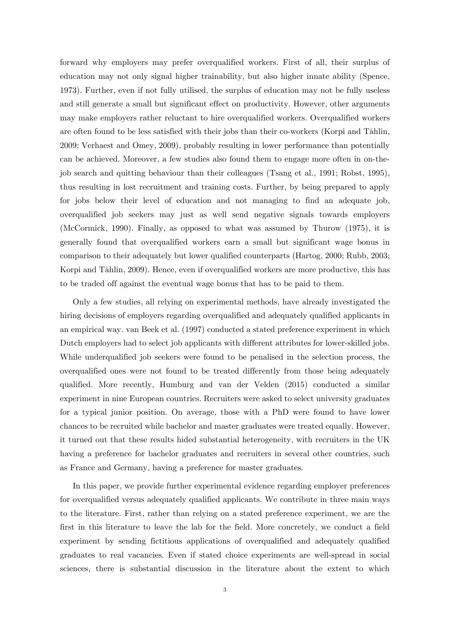forward why employers may prefer overqualified workers. First of all, their surplus of education may not only signal higher trainability, but also higher innate ability (Spence, 1973). Further, even if not fully utilised, the surplus of education may not be fully useless and still generate a small but significant effect on productivity. However, other arguments may make employers rather reluctant to hire overqualified workers. Overqualified workers are often found to be less satisfied with their jobs than their co-workers (Korpi and Tåhlin, 2009; Verhaest and Omey, 2009), probably resulting in lower performance than potentially can be achieved. Moreover, a few studies also found them to engage more often in on-thejob search and quitting behaviour than their colleagues (Tsang et al., 1991; Robst, 1995), thus resulting in lost recruitment and training costs. Further, by being prepared to apply for jobs below their level of education and not managing to find an adequate job, overqualified job seekers may just as well send negative signals towards employers (McCormick, 1990). Finally, as opposed to what was assumed by Thurow (1975), it is generally found that overqualified workers earn a small but significant wage bonus in comparison to their adequately but lower qualified counterparts (Hartog, 2000; Rubb, 2003; Korpi and Tåhlin, 2009). Hence, even if overqualified workers are more productive, this has to be traded off against the eventual wage bonus that has to be paid to them.

Only a few studies, all relying on experimental methods, have already investigated the hiring decisions of employers regarding overqualified and adequately qualified applicants in an empirical way. van Beek et al. (1997) conducted a stated preference experiment in which Dutch employers had to select job applicants with different attributes for lower-skilled jobs. While underqualified job seekers were found to be penalised in the selection process, the overqualified ones were not found to be treated differently from those being adequately qualified. More recently, Humburg and van der Velden (2015) conducted a similar experiment in nine European countries. Recruiters were asked to select university graduates for a typical junior position. On average, those with a PhD were found to have lower chances to be recruited while bachelor and master graduates were treated equally. However, it turned out that these results hided substantial heterogeneity, with recruiters in the UK having a preference for bachelor graduates and recruiters in several other countries, such as France and Germany, having a preference for master graduates.

In this paper, we provide further experimental evidence regarding employer preferences for overqualified versus adequately qualified applicants. We contribute in three main ways to the literature. First, rather than relying on a stated preference experiment, we are the first in this literature to leave the lab for the field. More concretely, we conduct a field experiment by sending fictitious applications of overqualified and adequately qualified graduates to real vacancies. Even if stated choice experiments are well-spread in social sciences, there is substantial discussion in the literature about the extent to which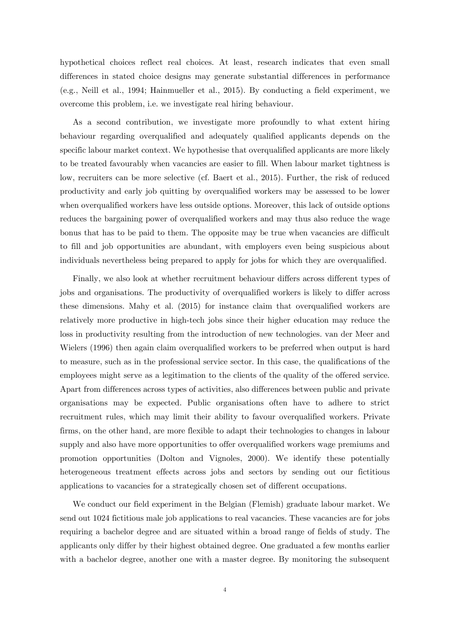hypothetical choices reflect real choices. At least, research indicates that even small differences in stated choice designs may generate substantial differences in performance (e.g., Neill et al., 1994; Hainmueller et al., 2015). By conducting a field experiment, we overcome this problem, i.e. we investigate real hiring behaviour.

As a second contribution, we investigate more profoundly to what extent hiring behaviour regarding overqualified and adequately qualified applicants depends on the specific labour market context. We hypothesise that overqualified applicants are more likely to be treated favourably when vacancies are easier to fill. When labour market tightness is low, recruiters can be more selective (cf. Baert et al., 2015). Further, the risk of reduced productivity and early job quitting by overqualified workers may be assessed to be lower when overqualified workers have less outside options. Moreover, this lack of outside options reduces the bargaining power of overqualified workers and may thus also reduce the wage bonus that has to be paid to them. The opposite may be true when vacancies are difficult to fill and job opportunities are abundant, with employers even being suspicious about individuals nevertheless being prepared to apply for jobs for which they are overqualified.

Finally, we also look at whether recruitment behaviour differs across different types of jobs and organisations. The productivity of overqualified workers is likely to differ across these dimensions. Mahy et al. (2015) for instance claim that overqualified workers are relatively more productive in high-tech jobs since their higher education may reduce the loss in productivity resulting from the introduction of new technologies. van der Meer and Wielers (1996) then again claim overqualified workers to be preferred when output is hard to measure, such as in the professional service sector. In this case, the qualifications of the employees might serve as a legitimation to the clients of the quality of the offered service. Apart from differences across types of activities, also differences between public and private organisations may be expected. Public organisations often have to adhere to strict recruitment rules, which may limit their ability to favour overqualified workers. Private firms, on the other hand, are more flexible to adapt their technologies to changes in labour supply and also have more opportunities to offer overqualified workers wage premiums and promotion opportunities (Dolton and Vignoles, 2000). We identify these potentially heterogeneous treatment effects across jobs and sectors by sending out our fictitious applications to vacancies for a strategically chosen set of different occupations.

We conduct our field experiment in the Belgian (Flemish) graduate labour market. We send out 1024 fictitious male job applications to real vacancies. These vacancies are for jobs requiring a bachelor degree and are situated within a broad range of fields of study. The applicants only differ by their highest obtained degree. One graduated a few months earlier with a bachelor degree, another one with a master degree. By monitoring the subsequent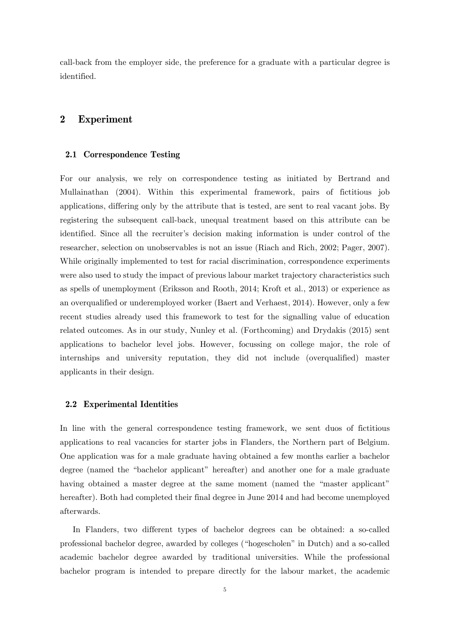call-back from the employer side, the preference for a graduate with a particular degree is identified.

### **2 Experiment**

#### **2.1 Correspondence Testing**

For our analysis, we rely on correspondence testing as initiated by Bertrand and Mullainathan (2004). Within this experimental framework, pairs of fictitious job applications, differing only by the attribute that is tested, are sent to real vacant jobs. By registering the subsequent call-back, unequal treatment based on this attribute can be identified. Since all the recruiter's decision making information is under control of the researcher, selection on unobservables is not an issue (Riach and Rich, 2002; Pager, 2007). While originally implemented to test for racial discrimination, correspondence experiments were also used to study the impact of previous labour market trajectory characteristics such as spells of unemployment (Eriksson and Rooth, 2014; Kroft et al., 2013) or experience as an overqualified or underemployed worker (Baert and Verhaest, 2014). However, only a few recent studies already used this framework to test for the signalling value of education related outcomes. As in our study, Nunley et al. (Forthcoming) and Drydakis (2015) sent applications to bachelor level jobs. However, focussing on college major, the role of internships and university reputation, they did not include (overqualified) master applicants in their design.

#### **2.2 Experimental Identities**

In line with the general correspondence testing framework, we sent duos of fictitious applications to real vacancies for starter jobs in Flanders, the Northern part of Belgium. One application was for a male graduate having obtained a few months earlier a bachelor degree (named the "bachelor applicant" hereafter) and another one for a male graduate having obtained a master degree at the same moment (named the "master applicant" hereafter). Both had completed their final degree in June 2014 and had become unemployed afterwards.

In Flanders, two different types of bachelor degrees can be obtained: a so-called professional bachelor degree, awarded by colleges ("hogescholen" in Dutch) and a so-called academic bachelor degree awarded by traditional universities. While the professional bachelor program is intended to prepare directly for the labour market, the academic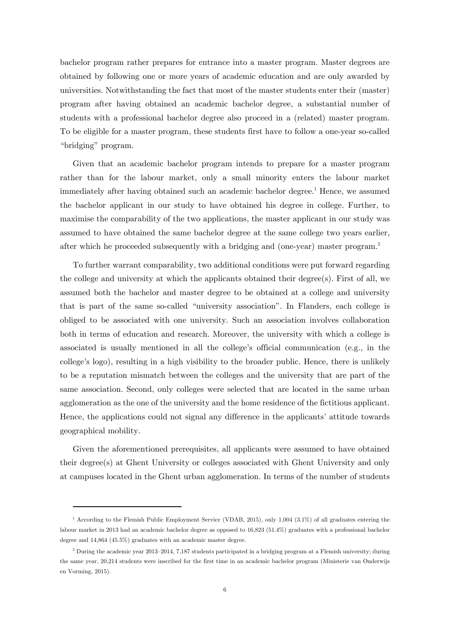bachelor program rather prepares for entrance into a master program. Master degrees are obtained by following one or more years of academic education and are only awarded by universities. Notwithstanding the fact that most of the master students enter their (master) program after having obtained an academic bachelor degree, a substantial number of students with a professional bachelor degree also proceed in a (related) master program. To be eligible for a master program, these students first have to follow a one-year so-called "bridging" program.

Given that an academic bachelor program intends to prepare for a master program rather than for the labour market, only a small minority enters the labour market immediately after having obtained such an academic bachelor degree.<sup>1</sup> Hence, we assumed the bachelor applicant in our study to have obtained his degree in college. Further, to maximise the comparability of the two applications, the master applicant in our study was assumed to have obtained the same bachelor degree at the same college two years earlier, after which he proceeded subsequently with a bridging and (one-year) master program.<sup>2</sup>

To further warrant comparability, two additional conditions were put forward regarding the college and university at which the applicants obtained their degree(s). First of all, we assumed both the bachelor and master degree to be obtained at a college and university that is part of the same so-called "university association". In Flanders, each college is obliged to be associated with one university. Such an association involves collaboration both in terms of education and research. Moreover, the university with which a college is associated is usually mentioned in all the college's official communication (e.g., in the college's logo), resulting in a high visibility to the broader public. Hence, there is unlikely to be a reputation mismatch between the colleges and the university that are part of the same association. Second, only colleges were selected that are located in the same urban agglomeration as the one of the university and the home residence of the fictitious applicant. Hence, the applications could not signal any difference in the applicants' attitude towards geographical mobility.

Given the aforementioned prerequisites, all applicants were assumed to have obtained their degree(s) at Ghent University or colleges associated with Ghent University and only at campuses located in the Ghent urban agglomeration. In terms of the number of students

-

<sup>1</sup> According to the Flemish Public Employment Service (VDAB, 2015), only 1,004 (3.1%) of all graduates entering the labour market in 2013 had an academic bachelor degree as opposed to 16,823 (51.4%) graduates with a professional bachelor degree and 14,864 (45.5%) graduates with an academic master degree.

<sup>&</sup>lt;sup>2</sup> During the academic year 2013–2014, 7,187 students participated in a bridging program at a Flemish university; during the same year, 20,214 students were inscribed for the first time in an academic bachelor program (Ministerie van Onderwijs en Vorming, 2015).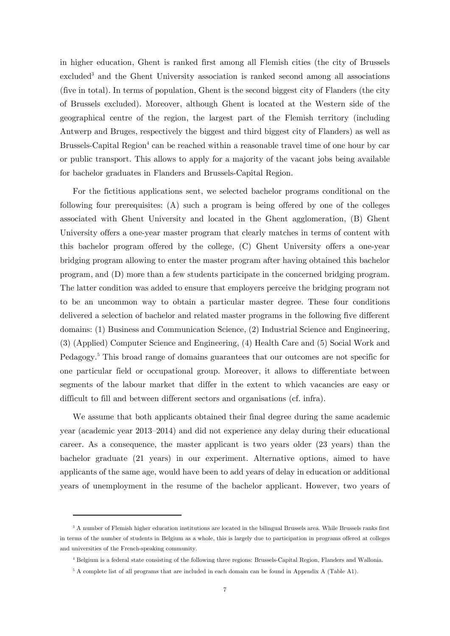in higher education, Ghent is ranked first among all Flemish cities (the city of Brussels excluded<sup>3</sup> and the Ghent University association is ranked second among all associations (five in total). In terms of population, Ghent is the second biggest city of Flanders (the city of Brussels excluded). Moreover, although Ghent is located at the Western side of the geographical centre of the region, the largest part of the Flemish territory (including Antwerp and Bruges, respectively the biggest and third biggest city of Flanders) as well as Brussels-Capital Region<sup>4</sup> can be reached within a reasonable travel time of one hour by car or public transport. This allows to apply for a majority of the vacant jobs being available for bachelor graduates in Flanders and Brussels-Capital Region.

For the fictitious applications sent, we selected bachelor programs conditional on the following four prerequisites: (A) such a program is being offered by one of the colleges associated with Ghent University and located in the Ghent agglomeration, (B) Ghent University offers a one-year master program that clearly matches in terms of content with this bachelor program offered by the college, (C) Ghent University offers a one-year bridging program allowing to enter the master program after having obtained this bachelor program, and (D) more than a few students participate in the concerned bridging program. The latter condition was added to ensure that employers perceive the bridging program not to be an uncommon way to obtain a particular master degree. These four conditions delivered a selection of bachelor and related master programs in the following five different domains: (1) Business and Communication Science, (2) Industrial Science and Engineering, (3) (Applied) Computer Science and Engineering, (4) Health Care and (5) Social Work and Pedagogy.<sup>5</sup> This broad range of domains guarantees that our outcomes are not specific for one particular field or occupational group. Moreover, it allows to differentiate between segments of the labour market that differ in the extent to which vacancies are easy or difficult to fill and between different sectors and organisations (cf. infra).

We assume that both applicants obtained their final degree during the same academic year (academic year 2013–2014) and did not experience any delay during their educational career. As a consequence, the master applicant is two years older (23 years) than the bachelor graduate (21 years) in our experiment. Alternative options, aimed to have applicants of the same age, would have been to add years of delay in education or additional years of unemployment in the resume of the bachelor applicant. However, two years of

-

<sup>&</sup>lt;sup>3</sup> A number of Flemish higher education institutions are located in the bilingual Brussels area. While Brussels ranks first in terms of the number of students in Belgium as a whole, this is largely due to participation in programs offered at colleges and universities of the French-speaking community.

<sup>4</sup> Belgium is a federal state consisting of the following three regions: Brussels-Capital Region, Flanders and Wallonia.

<sup>&</sup>lt;sup>5</sup> A complete list of all programs that are included in each domain can be found in Appendix A (Table A1).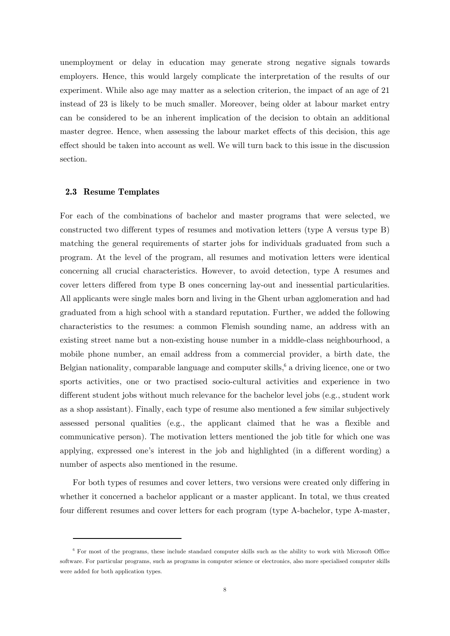unemployment or delay in education may generate strong negative signals towards employers. Hence, this would largely complicate the interpretation of the results of our experiment. While also age may matter as a selection criterion, the impact of an age of 21 instead of 23 is likely to be much smaller. Moreover, being older at labour market entry can be considered to be an inherent implication of the decision to obtain an additional master degree. Hence, when assessing the labour market effects of this decision, this age effect should be taken into account as well. We will turn back to this issue in the discussion section.

#### **2.3 Resume Templates**

-

For each of the combinations of bachelor and master programs that were selected, we constructed two different types of resumes and motivation letters (type A versus type B) matching the general requirements of starter jobs for individuals graduated from such a program. At the level of the program, all resumes and motivation letters were identical concerning all crucial characteristics. However, to avoid detection, type A resumes and cover letters differed from type B ones concerning lay-out and inessential particularities. All applicants were single males born and living in the Ghent urban agglomeration and had graduated from a high school with a standard reputation. Further, we added the following characteristics to the resumes: a common Flemish sounding name, an address with an existing street name but a non-existing house number in a middle-class neighbourhood, a mobile phone number, an email address from a commercial provider, a birth date, the Belgian nationality, comparable language and computer skills,<sup>6</sup> a driving licence, one or two sports activities, one or two practised socio-cultural activities and experience in two different student jobs without much relevance for the bachelor level jobs (e.g., student work as a shop assistant). Finally, each type of resume also mentioned a few similar subjectively assessed personal qualities (e.g., the applicant claimed that he was a flexible and communicative person). The motivation letters mentioned the job title for which one was applying, expressed one's interest in the job and highlighted (in a different wording) a number of aspects also mentioned in the resume.

For both types of resumes and cover letters, two versions were created only differing in whether it concerned a bachelor applicant or a master applicant. In total, we thus created four different resumes and cover letters for each program (type A-bachelor, type A-master,

<sup>6</sup> For most of the programs, these include standard computer skills such as the ability to work with Microsoft Office software. For particular programs, such as programs in computer science or electronics, also more specialised computer skills were added for both application types.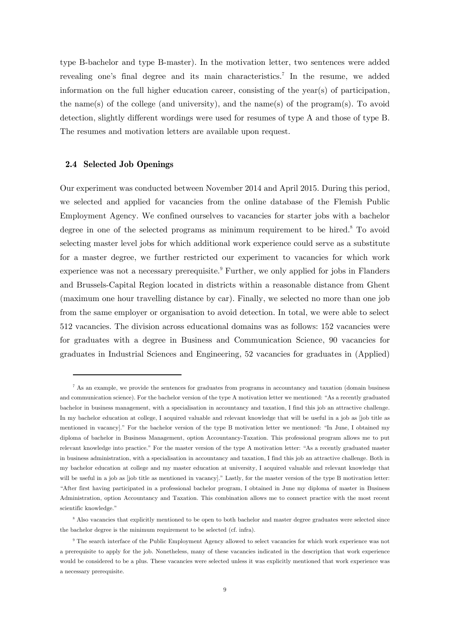type B-bachelor and type B-master). In the motivation letter, two sentences were added revealing one's final degree and its main characteristics.<sup>7</sup> In the resume, we added information on the full higher education career, consisting of the year(s) of participation, the name(s) of the college (and university), and the name(s) of the program(s). To avoid detection, slightly different wordings were used for resumes of type A and those of type B. The resumes and motivation letters are available upon request.

#### **2.4 Selected Job Openings**

-

Our experiment was conducted between November 2014 and April 2015. During this period, we selected and applied for vacancies from the online database of the Flemish Public Employment Agency. We confined ourselves to vacancies for starter jobs with a bachelor degree in one of the selected programs as minimum requirement to be hired.<sup>8</sup> To avoid selecting master level jobs for which additional work experience could serve as a substitute for a master degree, we further restricted our experiment to vacancies for which work experience was not a necessary prerequisite.<sup>9</sup> Further, we only applied for jobs in Flanders and Brussels-Capital Region located in districts within a reasonable distance from Ghent (maximum one hour travelling distance by car). Finally, we selected no more than one job from the same employer or organisation to avoid detection. In total, we were able to select 512 vacancies. The division across educational domains was as follows: 152 vacancies were for graduates with a degree in Business and Communication Science, 90 vacancies for graduates in Industrial Sciences and Engineering, 52 vacancies for graduates in (Applied)

<sup>&</sup>lt;sup>7</sup> As an example, we provide the sentences for graduates from programs in accountancy and taxation (domain business and communication science). For the bachelor version of the type A motivation letter we mentioned: "As a recently graduated bachelor in business management, with a specialisation in accountancy and taxation, I find this job an attractive challenge. In my bachelor education at college, I acquired valuable and relevant knowledge that will be useful in a job as [job title as mentioned in vacancy]." For the bachelor version of the type B motivation letter we mentioned: "In June, I obtained my diploma of bachelor in Business Management, option Accountancy-Taxation. This professional program allows me to put relevant knowledge into practice." For the master version of the type A motivation letter: "As a recently graduated master in business administration, with a specialisation in accountancy and taxation, I find this job an attractive challenge. Both in my bachelor education at college and my master education at university, I acquired valuable and relevant knowledge that will be useful in a job as [job title as mentioned in vacancy]." Lastly, for the master version of the type B motivation letter: "After first having participated in a professional bachelor program, I obtained in June my diploma of master in Business Administration, option Accountancy and Taxation. This combination allows me to connect practice with the most recent scientific knowledge."

<sup>&</sup>lt;sup>8</sup> Also vacancies that explicitly mentioned to be open to both bachelor and master degree graduates were selected since the bachelor degree is the minimum requirement to be selected (cf. infra).

<sup>&</sup>lt;sup>9</sup> The search interface of the Public Employment Agency allowed to select vacancies for which work experience was not a prerequisite to apply for the job. Nonetheless, many of these vacancies indicated in the description that work experience would be considered to be a plus. These vacancies were selected unless it was explicitly mentioned that work experience was a necessary prerequisite.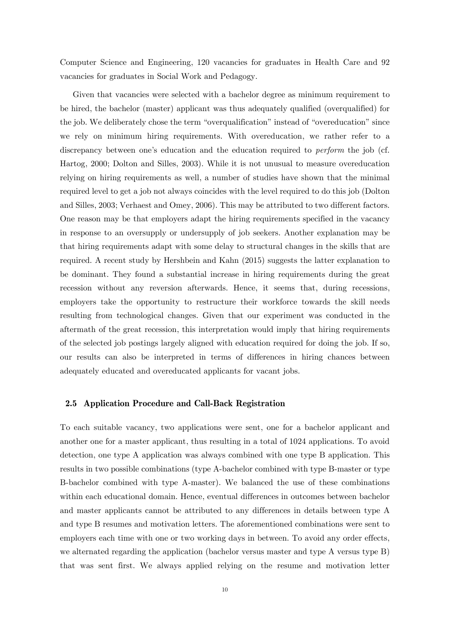Computer Science and Engineering, 120 vacancies for graduates in Health Care and 92 vacancies for graduates in Social Work and Pedagogy.

Given that vacancies were selected with a bachelor degree as minimum requirement to be hired, the bachelor (master) applicant was thus adequately qualified (overqualified) for the job. We deliberately chose the term "overqualification" instead of "overeducation" since we rely on minimum hiring requirements. With overeducation, we rather refer to a discrepancy between one's education and the education required to *perform* the job (cf. Hartog, 2000; Dolton and Silles, 2003). While it is not unusual to measure overeducation relying on hiring requirements as well, a number of studies have shown that the minimal required level to get a job not always coincides with the level required to do this job (Dolton and Silles, 2003; Verhaest and Omey, 2006). This may be attributed to two different factors. One reason may be that employers adapt the hiring requirements specified in the vacancy in response to an oversupply or undersupply of job seekers. Another explanation may be that hiring requirements adapt with some delay to structural changes in the skills that are required. A recent study by Hershbein and Kahn (2015) suggests the latter explanation to be dominant. They found a substantial increase in hiring requirements during the great recession without any reversion afterwards. Hence, it seems that, during recessions, employers take the opportunity to restructure their workforce towards the skill needs resulting from technological changes. Given that our experiment was conducted in the aftermath of the great recession, this interpretation would imply that hiring requirements of the selected job postings largely aligned with education required for doing the job. If so, our results can also be interpreted in terms of differences in hiring chances between adequately educated and overeducated applicants for vacant jobs.

#### **2.5 Application Procedure and Call-Back Registration**

To each suitable vacancy, two applications were sent, one for a bachelor applicant and another one for a master applicant, thus resulting in a total of 1024 applications. To avoid detection, one type A application was always combined with one type B application. This results in two possible combinations (type A-bachelor combined with type B-master or type B-bachelor combined with type A-master). We balanced the use of these combinations within each educational domain. Hence, eventual differences in outcomes between bachelor and master applicants cannot be attributed to any differences in details between type A and type B resumes and motivation letters. The aforementioned combinations were sent to employers each time with one or two working days in between. To avoid any order effects, we alternated regarding the application (bachelor versus master and type A versus type B) that was sent first. We always applied relying on the resume and motivation letter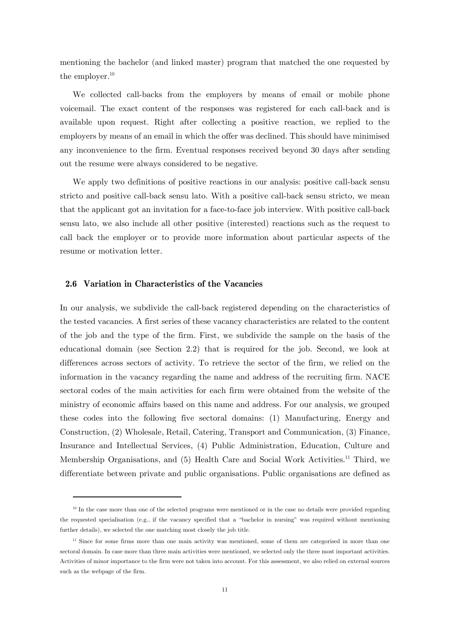mentioning the bachelor (and linked master) program that matched the one requested by the employer. $10$ 

We collected call-backs from the employers by means of email or mobile phone voicemail. The exact content of the responses was registered for each call-back and is available upon request. Right after collecting a positive reaction, we replied to the employers by means of an email in which the offer was declined. This should have minimised any inconvenience to the firm. Eventual responses received beyond 30 days after sending out the resume were always considered to be negative.

We apply two definitions of positive reactions in our analysis: positive call-back sensu stricto and positive call-back sensu lato. With a positive call-back sensu stricto, we mean that the applicant got an invitation for a face-to-face job interview. With positive call-back sensu lato, we also include all other positive (interested) reactions such as the request to call back the employer or to provide more information about particular aspects of the resume or motivation letter.

#### **2.6 Variation in Characteristics of the Vacancies**

-

In our analysis, we subdivide the call-back registered depending on the characteristics of the tested vacancies. A first series of these vacancy characteristics are related to the content of the job and the type of the firm. First, we subdivide the sample on the basis of the educational domain (see Section 2.2) that is required for the job. Second, we look at differences across sectors of activity. To retrieve the sector of the firm, we relied on the information in the vacancy regarding the name and address of the recruiting firm. NACE sectoral codes of the main activities for each firm were obtained from the website of the ministry of economic affairs based on this name and address. For our analysis, we grouped these codes into the following five sectoral domains: (1) Manufacturing, Energy and Construction, (2) Wholesale, Retail, Catering, Transport and Communication, (3) Finance, Insurance and Intellectual Services, (4) Public Administration, Education, Culture and Membership Organisations, and (5) Health Care and Social Work Activities.<sup>11</sup> Third, we differentiate between private and public organisations. Public organisations are defined as

<sup>&</sup>lt;sup>10</sup> In the case more than one of the selected programs were mentioned or in the case no details were provided regarding the requested specialisation (e.g., if the vacancy specified that a "bachelor in nursing" was required without mentioning further details), we selected the one matching most closely the job title.

<sup>&</sup>lt;sup>11</sup> Since for some firms more than one main activity was mentioned, some of them are categorised in more than one sectoral domain. In case more than three main activities were mentioned, we selected only the three most important activities. Activities of minor importance to the firm were not taken into account. For this assessment, we also relied on external sources such as the webpage of the firm.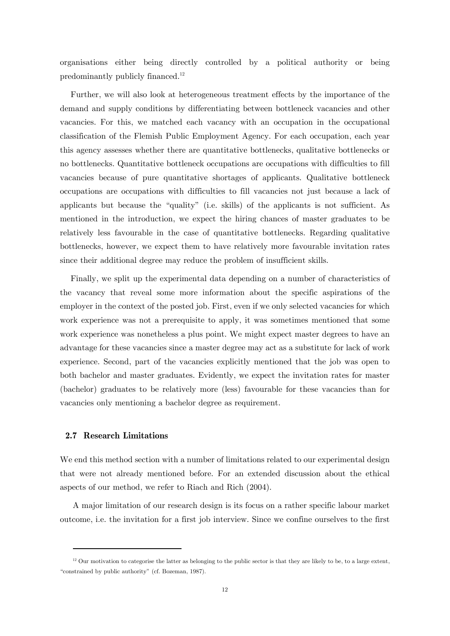organisations either being directly controlled by a political authority or being predominantly publicly financed.12

Further, we will also look at heterogeneous treatment effects by the importance of the demand and supply conditions by differentiating between bottleneck vacancies and other vacancies. For this, we matched each vacancy with an occupation in the occupational classification of the Flemish Public Employment Agency. For each occupation, each year this agency assesses whether there are quantitative bottlenecks, qualitative bottlenecks or no bottlenecks. Quantitative bottleneck occupations are occupations with difficulties to fill vacancies because of pure quantitative shortages of applicants. Qualitative bottleneck occupations are occupations with difficulties to fill vacancies not just because a lack of applicants but because the "quality" (i.e. skills) of the applicants is not sufficient. As mentioned in the introduction, we expect the hiring chances of master graduates to be relatively less favourable in the case of quantitative bottlenecks. Regarding qualitative bottlenecks, however, we expect them to have relatively more favourable invitation rates since their additional degree may reduce the problem of insufficient skills.

Finally, we split up the experimental data depending on a number of characteristics of the vacancy that reveal some more information about the specific aspirations of the employer in the context of the posted job. First, even if we only selected vacancies for which work experience was not a prerequisite to apply, it was sometimes mentioned that some work experience was nonetheless a plus point. We might expect master degrees to have an advantage for these vacancies since a master degree may act as a substitute for lack of work experience. Second, part of the vacancies explicitly mentioned that the job was open to both bachelor and master graduates. Evidently, we expect the invitation rates for master (bachelor) graduates to be relatively more (less) favourable for these vacancies than for vacancies only mentioning a bachelor degree as requirement.

#### **2.7 Research Limitations**

-

We end this method section with a number of limitations related to our experimental design that were not already mentioned before. For an extended discussion about the ethical aspects of our method, we refer to Riach and Rich (2004).

A major limitation of our research design is its focus on a rather specific labour market outcome, i.e. the invitation for a first job interview. Since we confine ourselves to the first

 $12$  Our motivation to categorise the latter as belonging to the public sector is that they are likely to be, to a large extent, "constrained by public authority" (cf. Bozeman, 1987).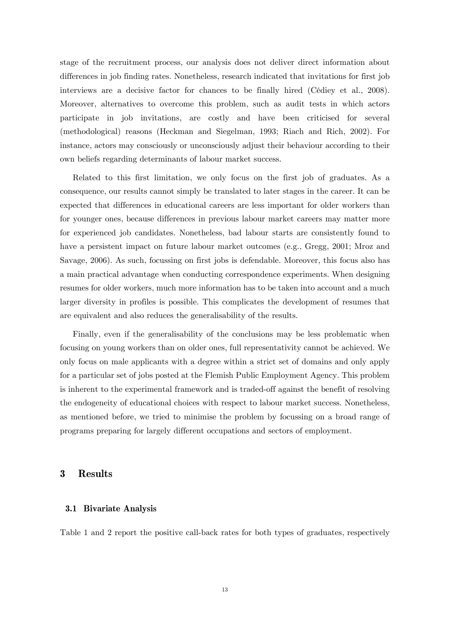stage of the recruitment process, our analysis does not deliver direct information about differences in job finding rates. Nonetheless, research indicated that invitations for first job interviews are a decisive factor for chances to be finally hired (Cédiey et al., 2008). Moreover, alternatives to overcome this problem, such as audit tests in which actors participate in job invitations, are costly and have been criticised for several (methodological) reasons (Heckman and Siegelman, 1993; Riach and Rich, 2002). For instance, actors may consciously or unconsciously adjust their behaviour according to their own beliefs regarding determinants of labour market success.

Related to this first limitation, we only focus on the first job of graduates. As a consequence, our results cannot simply be translated to later stages in the career. It can be expected that differences in educational careers are less important for older workers than for younger ones, because differences in previous labour market careers may matter more for experienced job candidates. Nonetheless, bad labour starts are consistently found to have a persistent impact on future labour market outcomes (e.g., Gregg, 2001; Mroz and Savage, 2006). As such, focussing on first jobs is defendable. Moreover, this focus also has a main practical advantage when conducting correspondence experiments. When designing resumes for older workers, much more information has to be taken into account and a much larger diversity in profiles is possible. This complicates the development of resumes that are equivalent and also reduces the generalisability of the results.

Finally, even if the generalisability of the conclusions may be less problematic when focusing on young workers than on older ones, full representativity cannot be achieved. We only focus on male applicants with a degree within a strict set of domains and only apply for a particular set of jobs posted at the Flemish Public Employment Agency. This problem is inherent to the experimental framework and is traded-off against the benefit of resolving the endogeneity of educational choices with respect to labour market success. Nonetheless, as mentioned before, we tried to minimise the problem by focussing on a broad range of programs preparing for largely different occupations and sectors of employment.

#### **3 Results**

#### **3.1 Bivariate Analysis**

Table 1 and 2 report the positive call-back rates for both types of graduates, respectively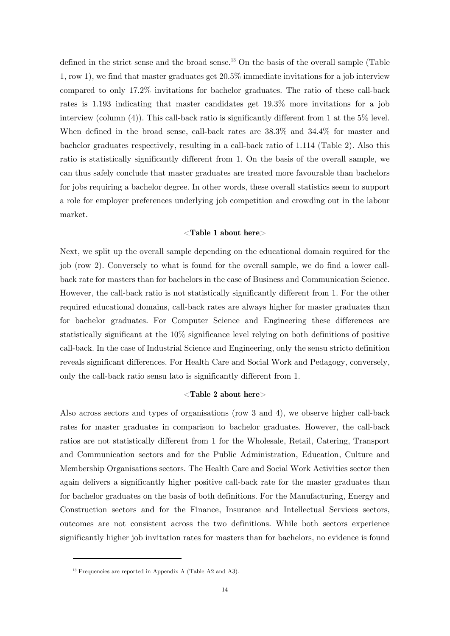defined in the strict sense and the broad sense.<sup>13</sup> On the basis of the overall sample (Table 1, row 1), we find that master graduates get 20.5% immediate invitations for a job interview compared to only 17.2% invitations for bachelor graduates. The ratio of these call-back rates is 1.193 indicating that master candidates get 19.3% more invitations for a job interview (column (4)). This call-back ratio is significantly different from 1 at the 5% level. When defined in the broad sense, call-back rates are 38.3% and 34.4% for master and bachelor graduates respectively, resulting in a call-back ratio of 1.114 (Table 2). Also this ratio is statistically significantly different from 1. On the basis of the overall sample, we can thus safely conclude that master graduates are treated more favourable than bachelors for jobs requiring a bachelor degree. In other words, these overall statistics seem to support a role for employer preferences underlying job competition and crowding out in the labour market.

#### <**Table 1 about here**>

Next, we split up the overall sample depending on the educational domain required for the job (row 2). Conversely to what is found for the overall sample, we do find a lower callback rate for masters than for bachelors in the case of Business and Communication Science. However, the call-back ratio is not statistically significantly different from 1. For the other required educational domains, call-back rates are always higher for master graduates than for bachelor graduates. For Computer Science and Engineering these differences are statistically significant at the 10% significance level relying on both definitions of positive call-back. In the case of Industrial Science and Engineering, only the sensu stricto definition reveals significant differences. For Health Care and Social Work and Pedagogy, conversely, only the call-back ratio sensu lato is significantly different from 1.

#### <**Table 2 about here**>

Also across sectors and types of organisations (row 3 and 4), we observe higher call-back rates for master graduates in comparison to bachelor graduates. However, the call-back ratios are not statistically different from 1 for the Wholesale, Retail, Catering, Transport and Communication sectors and for the Public Administration, Education, Culture and Membership Organisations sectors. The Health Care and Social Work Activities sector then again delivers a significantly higher positive call-back rate for the master graduates than for bachelor graduates on the basis of both definitions. For the Manufacturing, Energy and Construction sectors and for the Finance, Insurance and Intellectual Services sectors, outcomes are not consistent across the two definitions. While both sectors experience significantly higher job invitation rates for masters than for bachelors, no evidence is found

-

<sup>&</sup>lt;sup>13</sup> Frequencies are reported in Appendix A (Table A2 and A3).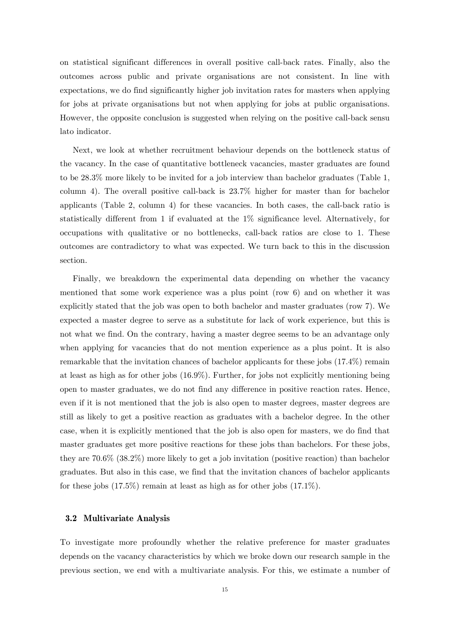on statistical significant differences in overall positive call-back rates. Finally, also the outcomes across public and private organisations are not consistent. In line with expectations, we do find significantly higher job invitation rates for masters when applying for jobs at private organisations but not when applying for jobs at public organisations. However, the opposite conclusion is suggested when relying on the positive call-back sensu lato indicator.

Next, we look at whether recruitment behaviour depends on the bottleneck status of the vacancy. In the case of quantitative bottleneck vacancies, master graduates are found to be 28.3% more likely to be invited for a job interview than bachelor graduates (Table 1, column 4). The overall positive call-back is 23.7% higher for master than for bachelor applicants (Table 2, column 4) for these vacancies. In both cases, the call-back ratio is statistically different from 1 if evaluated at the 1% significance level. Alternatively, for occupations with qualitative or no bottlenecks, call-back ratios are close to 1. These outcomes are contradictory to what was expected. We turn back to this in the discussion section.

Finally, we breakdown the experimental data depending on whether the vacancy mentioned that some work experience was a plus point (row 6) and on whether it was explicitly stated that the job was open to both bachelor and master graduates (row 7). We expected a master degree to serve as a substitute for lack of work experience, but this is not what we find. On the contrary, having a master degree seems to be an advantage only when applying for vacancies that do not mention experience as a plus point. It is also remarkable that the invitation chances of bachelor applicants for these jobs (17.4%) remain at least as high as for other jobs (16.9%). Further, for jobs not explicitly mentioning being open to master graduates, we do not find any difference in positive reaction rates. Hence, even if it is not mentioned that the job is also open to master degrees, master degrees are still as likely to get a positive reaction as graduates with a bachelor degree. In the other case, when it is explicitly mentioned that the job is also open for masters, we do find that master graduates get more positive reactions for these jobs than bachelors. For these jobs, they are 70.6% (38.2%) more likely to get a job invitation (positive reaction) than bachelor graduates. But also in this case, we find that the invitation chances of bachelor applicants for these jobs (17.5%) remain at least as high as for other jobs (17.1%).

#### **3.2 Multivariate Analysis**

To investigate more profoundly whether the relative preference for master graduates depends on the vacancy characteristics by which we broke down our research sample in the previous section, we end with a multivariate analysis. For this, we estimate a number of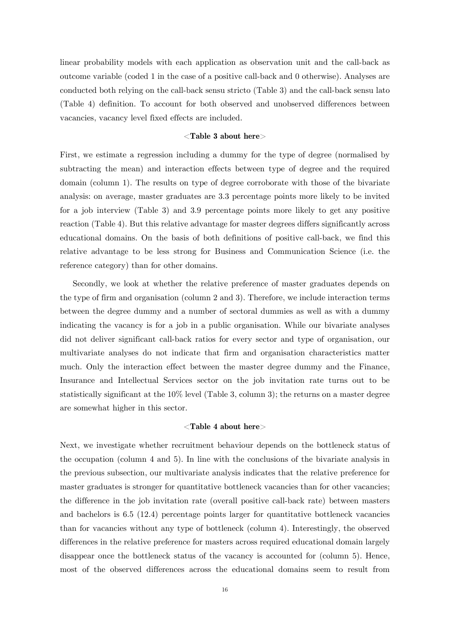linear probability models with each application as observation unit and the call-back as outcome variable (coded 1 in the case of a positive call-back and 0 otherwise). Analyses are conducted both relying on the call-back sensu stricto (Table 3) and the call-back sensu lato (Table 4) definition. To account for both observed and unobserved differences between vacancies, vacancy level fixed effects are included.

#### <**Table 3 about here**>

First, we estimate a regression including a dummy for the type of degree (normalised by subtracting the mean) and interaction effects between type of degree and the required domain (column 1). The results on type of degree corroborate with those of the bivariate analysis: on average, master graduates are 3.3 percentage points more likely to be invited for a job interview (Table 3) and 3.9 percentage points more likely to get any positive reaction (Table 4). But this relative advantage for master degrees differs significantly across educational domains. On the basis of both definitions of positive call-back, we find this relative advantage to be less strong for Business and Communication Science (i.e. the reference category) than for other domains.

Secondly, we look at whether the relative preference of master graduates depends on the type of firm and organisation (column 2 and 3). Therefore, we include interaction terms between the degree dummy and a number of sectoral dummies as well as with a dummy indicating the vacancy is for a job in a public organisation. While our bivariate analyses did not deliver significant call-back ratios for every sector and type of organisation, our multivariate analyses do not indicate that firm and organisation characteristics matter much. Only the interaction effect between the master degree dummy and the Finance, Insurance and Intellectual Services sector on the job invitation rate turns out to be statistically significant at the 10% level (Table 3, column 3); the returns on a master degree are somewhat higher in this sector.

#### <**Table 4 about here**>

Next, we investigate whether recruitment behaviour depends on the bottleneck status of the occupation (column 4 and 5). In line with the conclusions of the bivariate analysis in the previous subsection, our multivariate analysis indicates that the relative preference for master graduates is stronger for quantitative bottleneck vacancies than for other vacancies; the difference in the job invitation rate (overall positive call-back rate) between masters and bachelors is 6.5 (12.4) percentage points larger for quantitative bottleneck vacancies than for vacancies without any type of bottleneck (column 4). Interestingly, the observed differences in the relative preference for masters across required educational domain largely disappear once the bottleneck status of the vacancy is accounted for (column 5). Hence, most of the observed differences across the educational domains seem to result from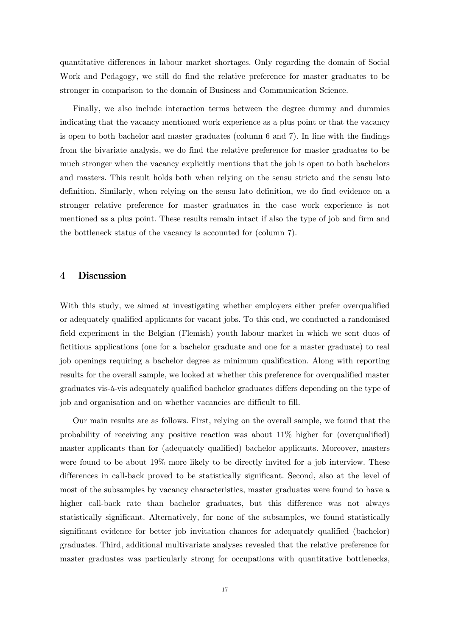quantitative differences in labour market shortages. Only regarding the domain of Social Work and Pedagogy, we still do find the relative preference for master graduates to be stronger in comparison to the domain of Business and Communication Science.

Finally, we also include interaction terms between the degree dummy and dummies indicating that the vacancy mentioned work experience as a plus point or that the vacancy is open to both bachelor and master graduates (column 6 and 7). In line with the findings from the bivariate analysis, we do find the relative preference for master graduates to be much stronger when the vacancy explicitly mentions that the job is open to both bachelors and masters. This result holds both when relying on the sensu stricto and the sensu lato definition. Similarly, when relying on the sensu lato definition, we do find evidence on a stronger relative preference for master graduates in the case work experience is not mentioned as a plus point. These results remain intact if also the type of job and firm and the bottleneck status of the vacancy is accounted for (column 7).

#### **4 Discussion**

With this study, we aimed at investigating whether employers either prefer overqualified or adequately qualified applicants for vacant jobs. To this end, we conducted a randomised field experiment in the Belgian (Flemish) youth labour market in which we sent duos of fictitious applications (one for a bachelor graduate and one for a master graduate) to real job openings requiring a bachelor degree as minimum qualification. Along with reporting results for the overall sample, we looked at whether this preference for overqualified master graduates vis-à-vis adequately qualified bachelor graduates differs depending on the type of job and organisation and on whether vacancies are difficult to fill.

Our main results are as follows. First, relying on the overall sample, we found that the probability of receiving any positive reaction was about 11% higher for (overqualified) master applicants than for (adequately qualified) bachelor applicants. Moreover, masters were found to be about 19% more likely to be directly invited for a job interview. These differences in call-back proved to be statistically significant. Second, also at the level of most of the subsamples by vacancy characteristics, master graduates were found to have a higher call-back rate than bachelor graduates, but this difference was not always statistically significant. Alternatively, for none of the subsamples, we found statistically significant evidence for better job invitation chances for adequately qualified (bachelor) graduates. Third, additional multivariate analyses revealed that the relative preference for master graduates was particularly strong for occupations with quantitative bottlenecks,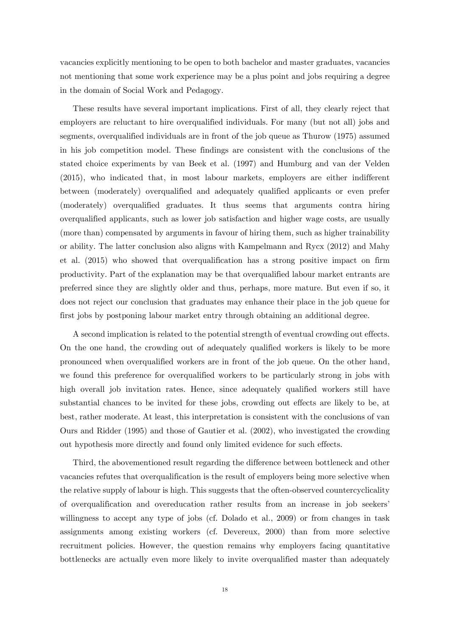vacancies explicitly mentioning to be open to both bachelor and master graduates, vacancies not mentioning that some work experience may be a plus point and jobs requiring a degree in the domain of Social Work and Pedagogy.

These results have several important implications. First of all, they clearly reject that employers are reluctant to hire overqualified individuals. For many (but not all) jobs and segments, overqualified individuals are in front of the job queue as Thurow (1975) assumed in his job competition model. These findings are consistent with the conclusions of the stated choice experiments by van Beek et al. (1997) and Humburg and van der Velden (2015), who indicated that, in most labour markets, employers are either indifferent between (moderately) overqualified and adequately qualified applicants or even prefer (moderately) overqualified graduates. It thus seems that arguments contra hiring overqualified applicants, such as lower job satisfaction and higher wage costs, are usually (more than) compensated by arguments in favour of hiring them, such as higher trainability or ability. The latter conclusion also aligns with Kampelmann and Rycx (2012) and Mahy et al. (2015) who showed that overqualification has a strong positive impact on firm productivity. Part of the explanation may be that overqualified labour market entrants are preferred since they are slightly older and thus, perhaps, more mature. But even if so, it does not reject our conclusion that graduates may enhance their place in the job queue for first jobs by postponing labour market entry through obtaining an additional degree.

A second implication is related to the potential strength of eventual crowding out effects. On the one hand, the crowding out of adequately qualified workers is likely to be more pronounced when overqualified workers are in front of the job queue. On the other hand, we found this preference for overqualified workers to be particularly strong in jobs with high overall job invitation rates. Hence, since adequately qualified workers still have substantial chances to be invited for these jobs, crowding out effects are likely to be, at best, rather moderate. At least, this interpretation is consistent with the conclusions of van Ours and Ridder (1995) and those of Gautier et al. (2002), who investigated the crowding out hypothesis more directly and found only limited evidence for such effects.

Third, the abovementioned result regarding the difference between bottleneck and other vacancies refutes that overqualification is the result of employers being more selective when the relative supply of labour is high. This suggests that the often-observed countercyclicality of overqualification and overeducation rather results from an increase in job seekers' willingness to accept any type of jobs (cf. Dolado et al., 2009) or from changes in task assignments among existing workers (cf. Devereux, 2000) than from more selective recruitment policies. However, the question remains why employers facing quantitative bottlenecks are actually even more likely to invite overqualified master than adequately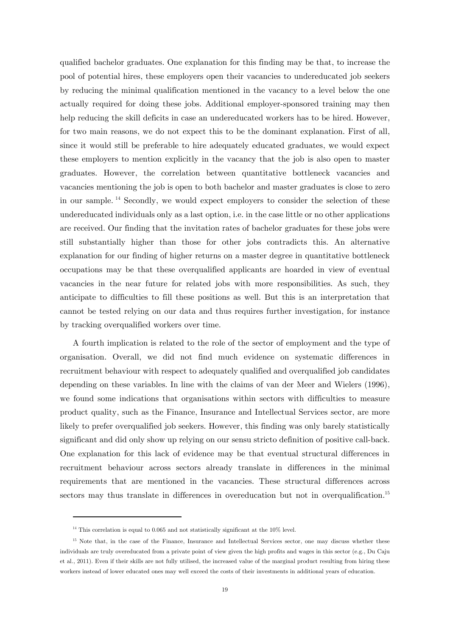qualified bachelor graduates. One explanation for this finding may be that, to increase the pool of potential hires, these employers open their vacancies to undereducated job seekers by reducing the minimal qualification mentioned in the vacancy to a level below the one actually required for doing these jobs. Additional employer-sponsored training may then help reducing the skill deficits in case an undereducated workers has to be hired. However, for two main reasons, we do not expect this to be the dominant explanation. First of all, since it would still be preferable to hire adequately educated graduates, we would expect these employers to mention explicitly in the vacancy that the job is also open to master graduates. However, the correlation between quantitative bottleneck vacancies and vacancies mentioning the job is open to both bachelor and master graduates is close to zero in our sample. 14 Secondly, we would expect employers to consider the selection of these undereducated individuals only as a last option, i.e. in the case little or no other applications are received. Our finding that the invitation rates of bachelor graduates for these jobs were still substantially higher than those for other jobs contradicts this. An alternative explanation for our finding of higher returns on a master degree in quantitative bottleneck occupations may be that these overqualified applicants are hoarded in view of eventual vacancies in the near future for related jobs with more responsibilities. As such, they anticipate to difficulties to fill these positions as well. But this is an interpretation that cannot be tested relying on our data and thus requires further investigation, for instance by tracking overqualified workers over time.

A fourth implication is related to the role of the sector of employment and the type of organisation. Overall, we did not find much evidence on systematic differences in recruitment behaviour with respect to adequately qualified and overqualified job candidates depending on these variables. In line with the claims of van der Meer and Wielers (1996), we found some indications that organisations within sectors with difficulties to measure product quality, such as the Finance, Insurance and Intellectual Services sector, are more likely to prefer overqualified job seekers. However, this finding was only barely statistically significant and did only show up relying on our sensu stricto definition of positive call-back. One explanation for this lack of evidence may be that eventual structural differences in recruitment behaviour across sectors already translate in differences in the minimal requirements that are mentioned in the vacancies. These structural differences across sectors may thus translate in differences in overeducation but not in overqualification.<sup>15</sup>

-

 $14$  This correlation is equal to 0.065 and not statistically significant at the 10% level.

<sup>&</sup>lt;sup>15</sup> Note that, in the case of the Finance, Insurance and Intellectual Services sector, one may discuss whether these individuals are truly overeducated from a private point of view given the high profits and wages in this sector (e.g., Du Caju et al., 2011). Even if their skills are not fully utilised, the increased value of the marginal product resulting from hiring these workers instead of lower educated ones may well exceed the costs of their investments in additional years of education.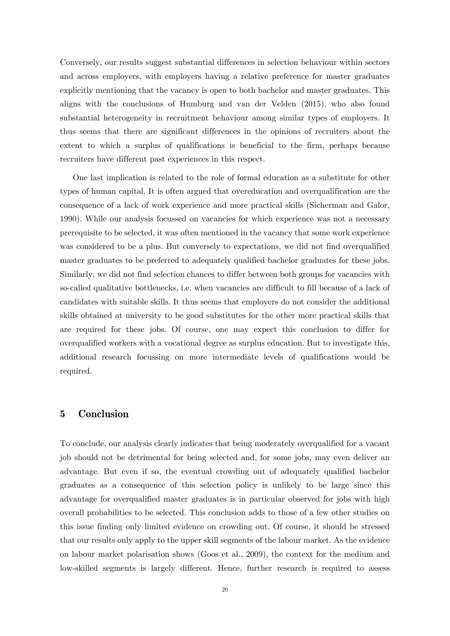Conversely, our results suggest substantial differences in selection behaviour within sectors and across employers, with employers having a relative preference for master graduates explicitly mentioning that the vacancy is open to both bachelor and master graduates. This aligns with the conclusions of Humburg and van der Velden (2015), who also found substantial heterogeneity in recruitment behaviour among similar types of employers. It thus seems that there are significant differences in the opinions of recruiters about the extent to which a surplus of qualifications is beneficial to the firm, perhaps because recruiters have different past experiences in this respect.

One last implication is related to the role of formal education as a substitute for other types of human capital. It is often argued that overeducation and overqualification are the consequence of a lack of work experience and more practical skills (Sicherman and Galor, 1990). While our analysis focussed on vacancies for which experience was not a necessary prerequisite to be selected, it was often mentioned in the vacancy that some work experience was considered to be a plus. But conversely to expectations, we did not find overqualified master graduates to be preferred to adequately qualified bachelor graduates for these jobs. Similarly, we did not find selection chances to differ between both groups for vacancies with so-called qualitative bottlenecks, i.e. when vacancies are difficult to fill because of a lack of candidates with suitable skills. It thus seems that employers do not consider the additional skills obtained at university to be good substitutes for the other more practical skills that are required for these jobs. Of course, one may expect this conclusion to differ for overqualified workers with a vocational degree as surplus education. But to investigate this, additional research focussing on more intermediate levels of qualifications would be required.

#### **5 Conclusion**

To conclude, our analysis clearly indicates that being moderately overqualified for a vacant job should not be detrimental for being selected and, for some jobs, may even deliver an advantage. But even if so, the eventual crowding out of adequately qualified bachelor graduates as a consequence of this selection policy is unlikely to be large since this advantage for overqualified master graduates is in particular observed for jobs with high overall probabilities to be selected. This conclusion adds to those of a few other studies on this issue finding only limited evidence on crowding out. Of course, it should be stressed that our results only apply to the upper skill segments of the labour market. As the evidence on labour market polarisation shows (Goos et al., 2009), the context for the medium and low-skilled segments is largely different. Hence, further research is required to assess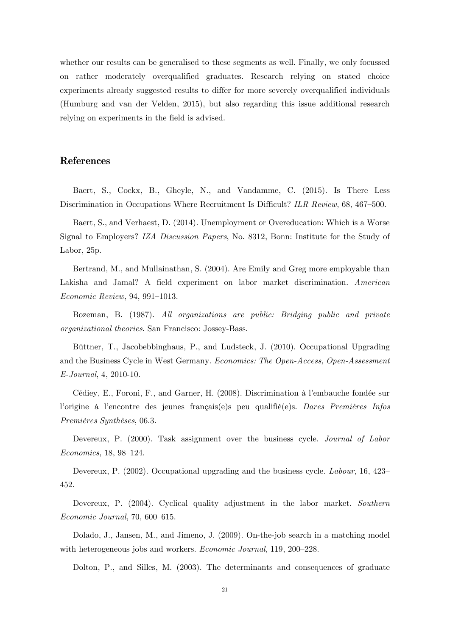whether our results can be generalised to these segments as well. Finally, we only focussed on rather moderately overqualified graduates. Research relying on stated choice experiments already suggested results to differ for more severely overqualified individuals (Humburg and van der Velden, 2015), but also regarding this issue additional research relying on experiments in the field is advised.

### **References**

Baert, S., Cockx, B., Gheyle, N., and Vandamme, C. (2015). Is There Less Discrimination in Occupations Where Recruitment Is Difficult? *ILR Review*, 68, 467–500.

Baert, S., and Verhaest, D. (2014). Unemployment or Overeducation: Which is a Worse Signal to Employers? *IZA Discussion Papers*, No. 8312, Bonn: Institute for the Study of Labor, 25p.

Bertrand, M., and Mullainathan, S. (2004). Are Emily and Greg more employable than Lakisha and Jamal? A field experiment on labor market discrimination. *American Economic Review*, 94, 991–1013.

Bozeman, B. (1987). *All organizations are public: Bridging public and private organizational theories*. San Francisco: Jossey-Bass.

Büttner, T., Jacobebbinghaus, P., and Ludsteck, J. (2010). Occupational Upgrading and the Business Cycle in West Germany. *Economics: The Open-Access, Open-Assessment E-Journal*, 4, 2010-10.

Cédiey, E., Foroni, F., and Garner, H. (2008). Discrimination à l'embauche fondée sur l'origine à l'encontre des jeunes français(e)s peu qualifié(e)s. *Dares Premières Infos Premières Synthèses*, 06.3.

Devereux, P. (2000). Task assignment over the business cycle. *Journal of Labor Economics*, 18, 98–124.

Devereux, P. (2002). Occupational upgrading and the business cycle. *Labour*, 16, 423– 452.

Devereux, P. (2004). Cyclical quality adjustment in the labor market. *Southern Economic Journal*, 70, 600–615.

Dolado, J., Jansen, M., and Jimeno, J. (2009). On-the-job search in a matching model with heterogeneous jobs and workers. *Economic Journal*, 119, 200–228.

Dolton, P., and Silles, M. (2003). The determinants and consequences of graduate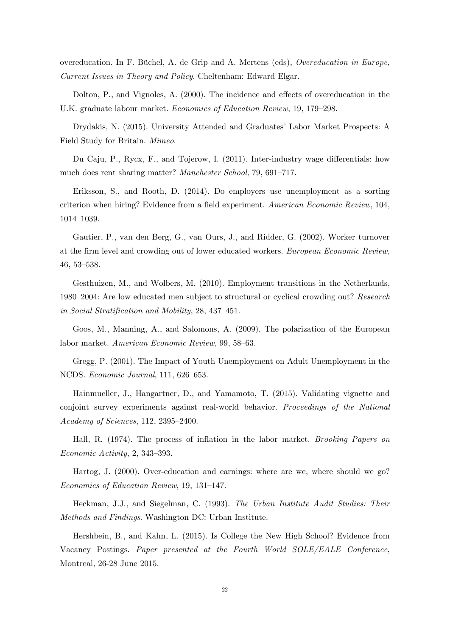overeducation. In F. Büchel, A. de Grip and A. Mertens (eds), *Overeducation in Europe, Current Issues in Theory and Policy*. Cheltenham: Edward Elgar.

Dolton, P., and Vignoles, A. (2000). The incidence and effects of overeducation in the U.K. graduate labour market. *Economics of Education Review*, 19, 179–298.

Drydakis, N. (2015). University Attended and Graduates' Labor Market Prospects: A Field Study for Britain. *Mimeo*.

Du Caju, P., Rycx, F., and Tojerow, I. (2011). Inter-industry wage differentials: how much does rent sharing matter? *Manchester School*, 79, 691–717.

Eriksson, S., and Rooth, D. (2014). Do employers use unemployment as a sorting criterion when hiring? Evidence from a field experiment. *American Economic Review*, 104, 1014–1039.

Gautier, P., van den Berg, G., van Ours, J., and Ridder, G. (2002). Worker turnover at the firm level and crowding out of lower educated workers. *European Economic Review*, 46, 53–538.

Gesthuizen, M., and Wolbers, M. (2010). Employment transitions in the Netherlands, 1980–2004: Are low educated men subject to structural or cyclical crowding out? *Research in Social Stratification and Mobility*, 28, 437–451.

Goos, M., Manning, A., and Salomons, A. (2009). The polarization of the European labor market. *American Economic Review*, 99, 58–63.

Gregg, P. (2001). The Impact of Youth Unemployment on Adult Unemployment in the NCDS. *Economic Journal*, 111, 626–653.

Hainmueller, J., Hangartner, D., and Yamamoto, T. (2015). Validating vignette and conjoint survey experiments against real-world behavior. *Proceedings of the National Academy of Sciences*, 112, 2395–2400.

Hall, R. (1974). The process of inflation in the labor market. *Brooking Papers on Economic Activity*, 2, 343–393.

Hartog, J. (2000). Over-education and earnings: where are we, where should we go? *Economics of Education Review*, 19, 131–147.

Heckman, J.J., and Siegelman, C. (1993). *The Urban Institute Audit Studies: Their Methods and Findings*. Washington DC: Urban Institute.

Hershbein, B., and Kahn, L. (2015). Is College the New High School? Evidence from Vacancy Postings. *Paper presented at the Fourth World SOLE/EALE Conference*, Montreal, 26-28 June 2015.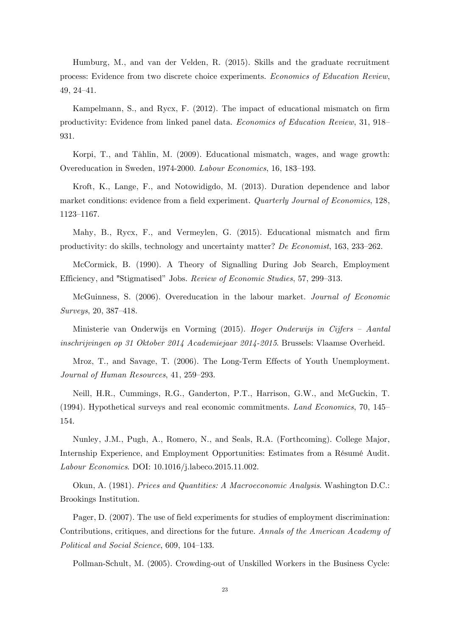Humburg, M., and van der Velden, R. (2015). Skills and the graduate recruitment process: Evidence from two discrete choice experiments. *Economics of Education Review*, 49, 24–41.

Kampelmann, S., and Rycx, F. (2012). The impact of educational mismatch on firm productivity: Evidence from linked panel data. *Economics of Education Review*, 31, 918– 931.

Korpi, T., and Tåhlin, M. (2009). Educational mismatch, wages, and wage growth: Overeducation in Sweden, 1974-2000. *Labour Economics*, 16, 183–193.

Kroft, K., Lange, F., and Notowidigdo, M. (2013). Duration dependence and labor market conditions: evidence from a field experiment. *Quarterly Journal of Economics*, 128, 1123–1167.

Mahy, B., Rycx, F., and Vermeylen, G. (2015). Educational mismatch and firm productivity: do skills, technology and uncertainty matter? *De Economist*, 163, 233–262.

McCormick, B. (1990). A Theory of Signalling During Job Search, Employment Efficiency, and "Stigmatised" Jobs. *Review of Economic Studies*, 57, 299–313.

McGuinness, S. (2006). Overeducation in the labour market. *Journal of Economic Surveys*, 20, 387–418.

Ministerie van Onderwijs en Vorming (2015). *Hoger Onderwijs in Cijfers – Aantal inschrijvingen op 31 Oktober 2014 Academiejaar 2014-2015*. Brussels: Vlaamse Overheid.

Mroz, T., and Savage, T. (2006). The Long-Term Effects of Youth Unemployment. *Journal of Human Resources*, 41, 259–293.

Neill, H.R., Cummings, R.G., Ganderton, P.T., Harrison, G.W., and McGuckin, T. (1994). Hypothetical surveys and real economic commitments. *Land Economics*, 70, 145– 154.

Nunley, J.M., Pugh, A., Romero, N., and Seals, R.A. (Forthcoming). College Major, Internship Experience, and Employment Opportunities: Estimates from a Résumé Audit. *Labour Economics*. DOI: 10.1016/j.labeco.2015.11.002.

Okun, A. (1981). *Prices and Quantities: A Macroeconomic Analysis*. Washington D.C.: Brookings Institution.

Pager, D. (2007). The use of field experiments for studies of employment discrimination: Contributions, critiques, and directions for the future. *Annals of the American Academy of Political and Social Science*, 609, 104–133.

Pollman-Schult, M. (2005). Crowding-out of Unskilled Workers in the Business Cycle: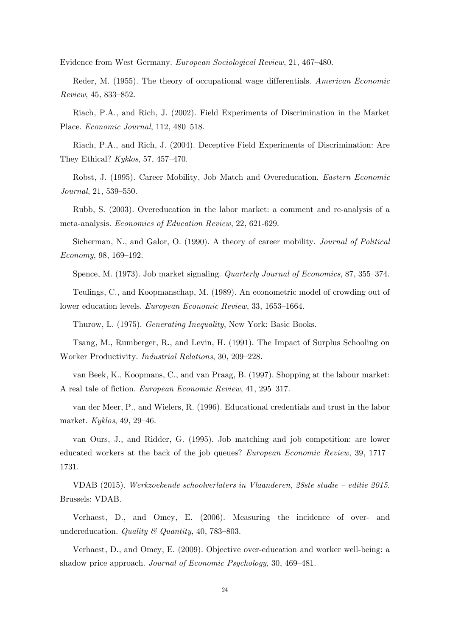Evidence from West Germany. *European Sociological Review*, 21, 467–480.

Reder, M. (1955). The theory of occupational wage differentials. *American Economic Review*, 45, 833–852.

Riach, P.A., and Rich, J. (2002). Field Experiments of Discrimination in the Market Place. *Economic Journal*, 112, 480–518.

Riach, P.A., and Rich, J. (2004). Deceptive Field Experiments of Discrimination: Are They Ethical? *Kyklos*, 57, 457–470.

Robst, J. (1995). Career Mobility, Job Match and Overeducation. *Eastern Economic Journal*, 21, 539–550.

Rubb, S. (2003). Overeducation in the labor market: a comment and re-analysis of a meta-analysis. *Economics of Education Review*, 22, 621-629.

Sicherman, N., and Galor, O. (1990). A theory of career mobility. *Journal of Political Economy*, 98, 169–192.

Spence, M. (1973). Job market signaling. *Quarterly Journal of Economics*, 87, 355–374.

Teulings, C., and Koopmanschap, M. (1989). An econometric model of crowding out of lower education levels. *European Economic Review*, 33, 1653–1664.

Thurow, L. (1975). *Generating Inequality*, New York: Basic Books.

Tsang, M., Rumberger, R., and Levin, H. (1991). The Impact of Surplus Schooling on Worker Productivity. *Industrial Relations*, 30, 209–228.

van Beek, K., Koopmans, C., and van Praag, B. (1997). Shopping at the labour market: A real tale of fiction. *European Economic Review*, 41, 295–317.

van der Meer, P., and Wielers, R. (1996). Educational credentials and trust in the labor market. *Kyklos*, 49, 29–46.

van Ours, J., and Ridder, G. (1995). Job matching and job competition: are lower educated workers at the back of the job queues? *European Economic Review*, 39, 1717– 1731.

VDAB (2015). *Werkzoekende schoolverlaters in Vlaanderen, 28ste studie – editie 2015*. Brussels: VDAB.

Verhaest, D., and Omey, E. (2006). Measuring the incidence of over- and undereducation. *Quality & Quantity*, 40, 783–803.

Verhaest, D., and Omey, E. (2009). Objective over-education and worker well-being: a shadow price approach. *Journal of Economic Psychology*, 30, 469–481.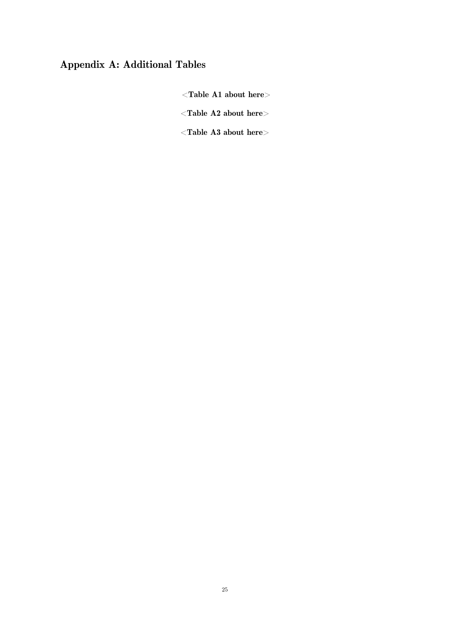## **Appendix A: Additional Tables**

<**Table A1 about here**>

<**Table A2 about here**>

<**Table A3 about here**>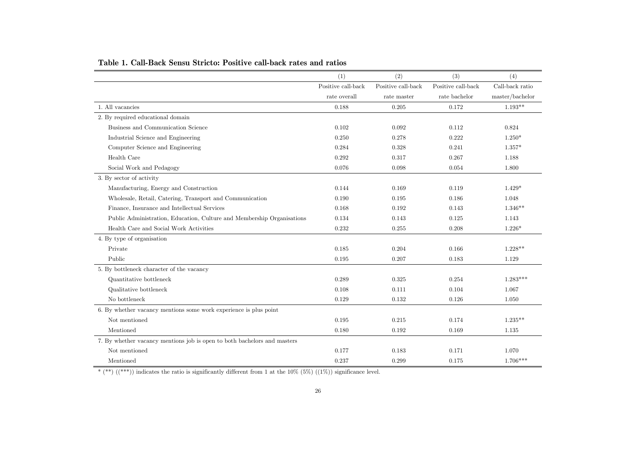|                                                                          | (1)                | (2)                | (3)                | (4)             |
|--------------------------------------------------------------------------|--------------------|--------------------|--------------------|-----------------|
|                                                                          | Positive call-back | Positive call-back | Positive call-back | Call-back ratio |
|                                                                          | rate overall       | rate master        | rate bachelor      | master/bachelor |
| 1. All vacancies                                                         | 0.188              | 0.205              | 0.172              | $1.193**$       |
| 2. By required educational domain                                        |                    |                    |                    |                 |
| Business and Communication Science                                       | 0.102              | 0.092              | 0.112              | 0.824           |
| Industrial Science and Engineering                                       | 0.250              | 0.278              | 0.222              | $1.250*$        |
| Computer Science and Engineering                                         | 0.284              | 0.328              | 0.241              | $1.357*$        |
| Health Care                                                              | 0.292              | 0.317              | 0.267              | 1.188           |
| Social Work and Pedagogy                                                 | 0.076              | 0.098              | 0.054              | 1.800           |
| 3. By sector of activity                                                 |                    |                    |                    |                 |
| Manufacturing, Energy and Construction                                   | 0.144              | 0.169              | 0.119              | $1.429*$        |
| Wholesale, Retail, Catering, Transport and Communication                 | 0.190              | 0.195              | 0.186              | 1.048           |
| Finance, Insurance and Intellectual Services                             | 0.168              | 0.192              | 0.143              | $1.346**$       |
| Public Administration, Education, Culture and Membership Organisations   | 0.134              | 0.143              | 0.125              | 1.143           |
| Health Care and Social Work Activities                                   | 0.232              | 0.255              | 0.208              | $1.226*$        |
| 4. By type of organisation                                               |                    |                    |                    |                 |
| Private                                                                  | 0.185              | 0.204              | 0.166              | $1.228**$       |
| Public                                                                   | 0.195              | 0.207              | 0.183              | 1.129           |
| 5. By bottleneck character of the vacancy                                |                    |                    |                    |                 |
| Quantitative bottleneck                                                  | 0.289              | 0.325              | 0.254              | $1.283***$      |
| Qualitative bottleneck                                                   | 0.108              | 0.111              | 0.104              | 1.067           |
| No bottleneck                                                            | 0.129              | 0.132              | 0.126              | 1.050           |
| 6. By whether vacancy mentions some work experience is plus point        |                    |                    |                    |                 |
| Not mentioned                                                            | 0.195              | 0.215              | 0.174              | $1.235**$       |
| Mentioned                                                                | 0.180              | 0.192              | 0.169              | 1.135           |
| 7. By whether vacancy mentions job is open to both bachelors and masters |                    |                    |                    |                 |
| Not mentioned                                                            | 0.177              | 0.183              | 0.171              | 1.070           |
| Mentioned                                                                | 0.237              | 0.299              | 0.175              | $1.706***$      |

#### **Table 1. Call-Back Sensu Stricto: Positive call-back rates and ratios**

\* (\*\*)  $(($ \*\*\*)) indicates the ratio is significantly different from 1 at the 10% (5%)  $((1\%)$ ) significance level.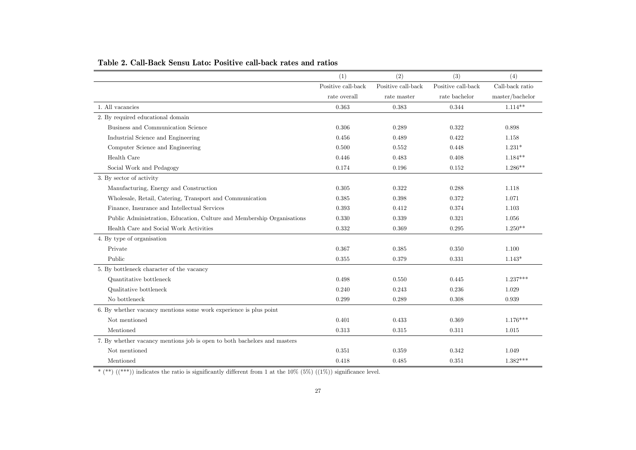|                                                                          | (1)                | (2)                | (3)                | (4)             |
|--------------------------------------------------------------------------|--------------------|--------------------|--------------------|-----------------|
|                                                                          | Positive call-back | Positive call-back | Positive call-back | Call-back ratio |
|                                                                          | rate overall       | rate master        | rate bachelor      | master/bachelor |
| 1. All vacancies                                                         | 0.363              | 0.383              | 0.344              | $1.114**$       |
| 2. By required educational domain                                        |                    |                    |                    |                 |
| Business and Communication Science                                       | 0.306              | 0.289              | 0.322              | 0.898           |
| Industrial Science and Engineering                                       | 0.456              | 0.489              | 0.422              | 1.158           |
| Computer Science and Engineering                                         | 0.500              | 0.552              | 0.448              | $1.231*$        |
| Health Care                                                              | 0.446              | 0.483              | 0.408              | $1.184**$       |
| Social Work and Pedagogy                                                 | 0.174              | 0.196              | 0.152              | $1.286**$       |
| 3. By sector of activity                                                 |                    |                    |                    |                 |
| Manufacturing, Energy and Construction                                   | 0.305              | 0.322              | 0.288              | 1.118           |
| Wholesale, Retail, Catering, Transport and Communication                 | 0.385              | 0.398              | 0.372              | 1.071           |
| Finance, Insurance and Intellectual Services                             | 0.393              | 0.412              | 0.374              | 1.103           |
| Public Administration, Education, Culture and Membership Organisations   | 0.330              | 0.339              | 0.321              | 1.056           |
| Health Care and Social Work Activities                                   | 0.332              | 0.369              | 0.295              | $1.250**$       |
| 4. By type of organisation                                               |                    |                    |                    |                 |
| Private                                                                  | 0.367              | 0.385              | 0.350              | 1.100           |
| Public                                                                   | 0.355              | 0.379              | 0.331              | $1.143*$        |
| 5. By bottleneck character of the vacancy                                |                    |                    |                    |                 |
| Quantitative bottleneck                                                  | 0.498              | 0.550              | 0.445              | $1.237***$      |
| Qualitative bottleneck                                                   | 0.240              | 0.243              | 0.236              | 1.029           |
| No bottleneck                                                            | 0.299              | 0.289              | 0.308              | 0.939           |
| 6. By whether vacancy mentions some work experience is plus point        |                    |                    |                    |                 |
| Not mentioned                                                            | 0.401              | 0.433              | 0.369              | $1.176***$      |
| Mentioned                                                                | 0.313              | 0.315              | 0.311              | 1.015           |
| 7. By whether vacancy mentions job is open to both bachelors and masters |                    |                    |                    |                 |
| Not mentioned                                                            | 0.351              | 0.359              | 0.342              | 1.049           |
| Mentioned                                                                | 0.418              | 0.485              | 0.351              | $1.382***$      |

#### **Table 2. Call-Back Sensu Lato: Positive call-back rates and ratios**

\* (\*\*)  $((***))$  indicates the ratio is significantly different from 1 at the 10% (5%)  $((1\%))$  significance level.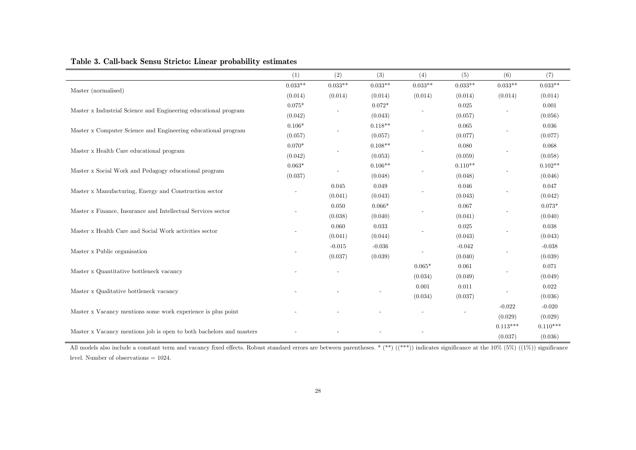|                                                                     | (1)       | (2)       | (3)       | (4)       | (5)       | (6)        | (7)        |
|---------------------------------------------------------------------|-----------|-----------|-----------|-----------|-----------|------------|------------|
| Master (normalised)                                                 | $0.033**$ | $0.033**$ | $0.033**$ | $0.033**$ | $0.033**$ | $0.033**$  | $0.033**$  |
|                                                                     | (0.014)   | (0.014)   | (0.014)   | (0.014)   | (0.014)   | (0.014)    | (0.014)    |
|                                                                     | $0.075*$  |           | $0.072*$  |           | 0.025     |            | 0.001      |
| Master x Industrial Science and Engineering educational program     | (0.042)   |           | (0.043)   |           | (0.057)   |            | (0.056)    |
|                                                                     | $0.106*$  |           | $0.118**$ |           | 0.065     |            | 0.036      |
| Master x Computer Science and Engineering educational program       | (0.057)   |           | (0.057)   |           | (0.077)   |            | (0.077)    |
|                                                                     | $0.070*$  |           | $0.108**$ |           | 0.080     |            | 0.068      |
| Master x Health Care educational program                            | (0.042)   |           | (0.053)   |           | (0.059)   |            | (0.058)    |
|                                                                     | $0.063*$  |           | $0.106**$ |           | $0.110**$ |            | $0.102**$  |
| Master x Social Work and Pedagogy educational program               | (0.037)   |           | (0.048)   |           | (0.048)   |            | (0.046)    |
|                                                                     |           | 0.045     | 0.049     |           | 0.046     |            | 0.047      |
| Master x Manufacturing, Energy and Construction sector              |           | (0.041)   | (0.043)   |           | (0.043)   |            | (0.042)    |
|                                                                     |           | 0.050     | $0.066*$  |           | 0.067     |            | $0.073*$   |
| Master x Finance, Insurance and Intellectual Services sector        |           | (0.038)   | (0.040)   |           | (0.041)   |            | (0.040)    |
| Master x Health Care and Social Work activities sector              |           | 0.060     | 0.033     |           | 0.025     |            | 0.038      |
|                                                                     |           | (0.041)   | (0.044)   |           | (0.043)   |            | (0.043)    |
|                                                                     |           | $-0.015$  | $-0.036$  |           | $-0.042$  |            | $-0.038$   |
| Master x Public organisation                                        |           | (0.037)   | (0.039)   |           | (0.040)   |            | (0.039)    |
|                                                                     |           |           |           | $0.065*$  | 0.061     |            | 0.071      |
| Master x Quantitative bottleneck vacancy                            |           |           |           | (0.034)   | (0.049)   |            | (0.049)    |
|                                                                     |           |           |           | 0.001     | 0.011     |            | 0.022      |
| Master x Qualitative bottleneck vacancy                             |           |           |           | (0.034)   | (0.037)   |            | (0.036)    |
|                                                                     |           |           |           |           |           | $-0.022$   | $-0.020$   |
| Master x Vacancy mentions some work experience is plus point        |           |           |           |           |           | (0.029)    | (0.029)    |
|                                                                     |           |           |           |           |           | $0.113***$ | $0.110***$ |
| Master x Vacancy mentions job is open to both bachelors and masters |           |           |           |           |           | (0.037)    | (0.036)    |

### **Table 3. Call-back Sensu Stricto: Linear probability estimates**

All models also include a constant term and vacancy fixed effects. Robust standard errors are between parentheses. \* (\*\*) ((\*\*\*)) indicates significance at the 10% (5%) ((1%)) significance level. Number of observations = 1024.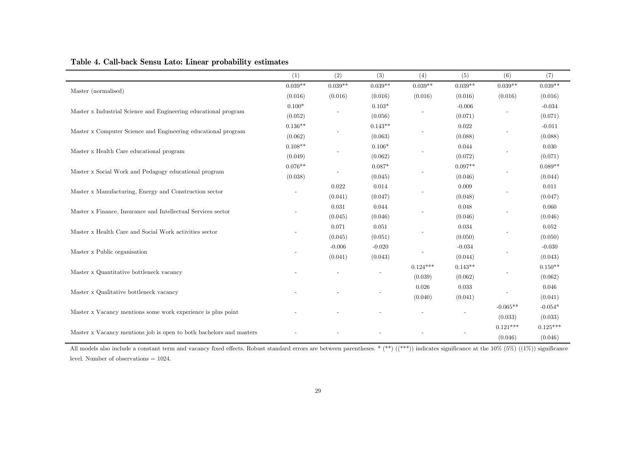|                                                                     | (1)       | (2)       | (3)       | (4)        | (5)       | (6)        | (7)        |
|---------------------------------------------------------------------|-----------|-----------|-----------|------------|-----------|------------|------------|
| Master (normalised)                                                 | $0.039**$ | $0.039**$ | $0.039**$ | $0.039**$  | $0.039**$ | $0.039**$  | $0.039**$  |
|                                                                     | (0.016)   | (0.016)   | (0.016)   | (0.016)    | (0.016)   | (0.016)    | (0.016)    |
|                                                                     | $0.100*$  |           | $0.103*$  |            | $-0.006$  |            | $-0.034$   |
| Master x Industrial Science and Engineering educational program     | (0.052)   |           | (0.056)   |            | (0.071)   |            | (0.071)    |
|                                                                     | $0.136**$ |           | $0.143**$ |            | 0.022     |            | $-0.011$   |
| Master x Computer Science and Engineering educational program       | (0.062)   |           | (0.063)   |            | (0.088)   |            | (0.088)    |
|                                                                     | $0.108**$ |           | $0.106*$  |            | 0.044     |            | 0.030      |
| Master x Health Care educational program                            | (0.049)   |           | (0.062)   |            | (0.072)   |            | (0.071)    |
|                                                                     | $0.076**$ |           | $0.087*$  |            | $0.097**$ |            | $0.089**$  |
| Master x Social Work and Pedagogy educational program               | (0.038)   |           | (0.045)   |            | (0.046)   |            | (0.044)    |
|                                                                     |           | 0.022     | 0.014     |            | 0.009     |            | 0.011      |
| Master x Manufacturing, Energy and Construction sector              |           | (0.041)   | (0.047)   |            | (0.048)   |            | (0.047)    |
|                                                                     |           | 0.031     | 0.044     |            | 0.048     |            | 0.060      |
| Master x Finance, Insurance and Intellectual Services sector        |           | (0.045)   | (0.046)   |            | (0.046)   |            | (0.046)    |
|                                                                     |           | 0.071     | 0.051     |            | 0.034     |            | 0.052      |
| Master x Health Care and Social Work activities sector              |           | (0.045)   | (0.051)   |            | (0.050)   |            | (0.050)    |
|                                                                     |           | $-0.006$  | $-0.020$  |            | $-0.034$  |            | $-0.030$   |
| Master x Public organisation                                        |           | (0.041)   | (0.043)   |            | (0.044)   |            | (0.043)    |
|                                                                     |           |           |           | $0.124***$ | $0.143**$ |            | $0.150**$  |
| Master x Quantitative bottleneck vacancy                            |           |           |           | (0.039)    | (0.062)   |            | (0.062)    |
|                                                                     |           |           |           | 0.026      | 0.033     |            | 0.046      |
| Master x Qualitative bottleneck vacancy                             |           |           |           | (0.040)    | (0.041)   |            | (0.041)    |
|                                                                     |           |           |           |            |           | $-0.065**$ | $-0.054*$  |
| Master x Vacancy mentions some work experience is plus point        |           |           |           |            |           | (0.033)    | (0.033)    |
|                                                                     |           |           |           |            |           | $0.121***$ | $0.125***$ |
| Master x Vacancy mentions job is open to both bachelors and masters |           |           |           |            |           | (0.046)    | (0.046)    |

### **Table 4. Call-back Sensu Lato: Linear probability estimates**

All models also include a constant term and vacancy fixed effects. Robust standard errors are between parentheses. \* (\*\*) ((\*\*\*)) indicates significance at the 10% (5%) ((1%)) significance level. Number of observations = 1024.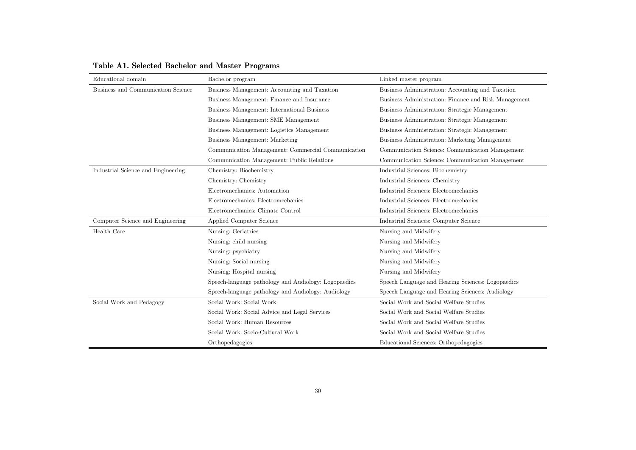| Educational domain                 | Bachelor program                                     | Linked master program                                |
|------------------------------------|------------------------------------------------------|------------------------------------------------------|
| Business and Communication Science | Business Management: Accounting and Taxation         | Business Administration: Accounting and Taxation     |
|                                    | Business Management: Finance and Insurance           | Business Administration: Finance and Risk Management |
|                                    | Business Management: International Business          | Business Administration: Strategic Management        |
|                                    | Business Management: SME Management                  | Business Administration: Strategic Management        |
|                                    | Business Management: Logistics Management            | Business Administration: Strategic Management        |
|                                    | Business Management: Marketing                       | Business Administration: Marketing Management        |
|                                    | Communication Management: Commercial Communication   | Communication Science: Communication Management      |
|                                    | Communication Management: Public Relations           | Communication Science: Communication Management      |
| Industrial Science and Engineering | Chemistry: Biochemistry                              | Industrial Sciences: Biochemistry                    |
|                                    | Chemistry: Chemistry                                 | Industrial Sciences: Chemistry                       |
|                                    | Electromechanics: Automation                         | Industrial Sciences: Electromechanics                |
|                                    | Electromechanics: Electromechanics                   | Industrial Sciences: Electromechanics                |
|                                    | Electromechanics: Climate Control                    | Industrial Sciences: Electromechanics                |
| Computer Science and Engineering   | Applied Computer Science                             | Industrial Sciences: Computer Science                |
| Health Care                        | Nursing: Geriatrics                                  | Nursing and Midwifery                                |
|                                    | Nursing: child nursing                               | Nursing and Midwifery                                |
|                                    | Nursing: psychiatry                                  | Nursing and Midwifery                                |
|                                    | Nursing: Social nursing                              | Nursing and Midwifery                                |
|                                    | Nursing: Hospital nursing                            | Nursing and Midwifery                                |
|                                    | Speech-language pathology and Audiology: Logopaedics | Speech Language and Hearing Sciences: Logopaedics    |
|                                    | Speech-language pathology and Audiology: Audiology   | Speech Language and Hearing Sciences: Audiology      |
| Social Work and Pedagogy           | Social Work: Social Work                             | Social Work and Social Welfare Studies               |
|                                    | Social Work: Social Advice and Legal Services        | Social Work and Social Welfare Studies               |
|                                    | Social Work: Human Resources                         | Social Work and Social Welfare Studies               |
|                                    | Social Work: Socio-Cultural Work                     | Social Work and Social Welfare Studies               |
|                                    | Orthopedagogics                                      | Educational Sciences: Orthopedagogics                |

## **Table A1. Selected Bachelor and Master Programs**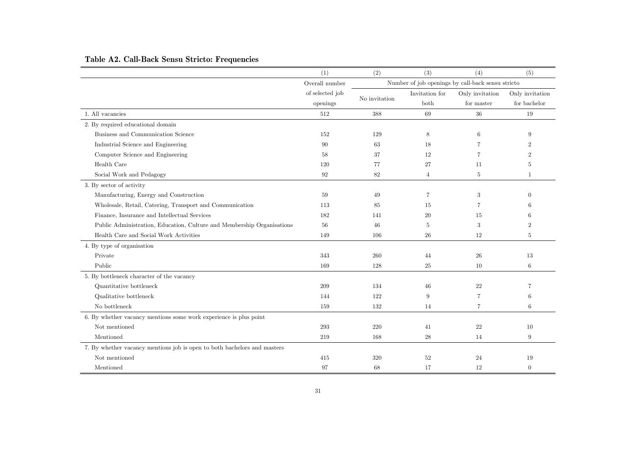|                                                                          | (1)             | (2)                                               | (3)            | (4)             | (5)             |
|--------------------------------------------------------------------------|-----------------|---------------------------------------------------|----------------|-----------------|-----------------|
|                                                                          | Overall number  | Number of job openings by call-back sensu stricto |                |                 |                 |
|                                                                          | of selected job | No invitation                                     | Invitation for | Only invitation | Only invitation |
|                                                                          | openings        |                                                   | both           | for master      | for bachelor    |
| 1. All vacancies                                                         | 512             | 388                                               | 69             | $36\,$          | 19              |
| 2. By required educational domain                                        |                 |                                                   |                |                 |                 |
| Business and Communication Science                                       | 152             | 129                                               | 8              | 6               | 9               |
| Industrial Science and Engineering                                       | 90              | 63                                                | 18             |                 | $\mathfrak{D}$  |
| Computer Science and Engineering                                         | 58              | 37                                                | 12             | 7               | 2               |
| Health Care                                                              | 120             | 77                                                | 27             | 11              | 5               |
| Social Work and Pedagogy                                                 | 92              | 82                                                | $\overline{4}$ | 5               | $\mathbf{1}$    |
| 3. By sector of activity                                                 |                 |                                                   |                |                 |                 |
| Manufacturing, Energy and Construction                                   | 59              | 49                                                | $\overline{7}$ | 3               | $\Omega$        |
| Wholesale, Retail, Catering, Transport and Communication                 | 113             | 85                                                | 15             | 7               |                 |
| Finance, Insurance and Intellectual Services                             | 182             | 141                                               | 20             | 15              |                 |
| Public Administration, Education, Culture and Membership Organisations   | 56              | 46                                                | 5              | 3               | $\overline{2}$  |
| Health Care and Social Work Activities                                   | 149             | 106                                               | 26             | 12              | 5               |
| 4. By type of organisation                                               |                 |                                                   |                |                 |                 |
| Private                                                                  | 343             | 260                                               | 44             | 26              | 13              |
| Public                                                                   | 169             | 128                                               | 25             | 10              | $\,6\,$         |
| 5. By bottleneck character of the vacancy                                |                 |                                                   |                |                 |                 |
| Quantitative bottleneck                                                  | 209             | 134                                               | 46             | 22              | 7               |
| Qualitative bottleneck                                                   | 144             | 122                                               | 9              | $\overline{7}$  | 6               |
| No bottleneck                                                            | 159             | 132                                               | 14             | $\overline{7}$  | 6               |
| 6. By whether vacancy mentions some work experience is plus point        |                 |                                                   |                |                 |                 |
| Not mentioned                                                            | 293             | 220                                               | 41             | 22              | 10              |
| Mentioned                                                                | 219             | 168                                               | 28             | 14              | 9               |
| 7. By whether vacancy mentions job is open to both bachelors and masters |                 |                                                   |                |                 |                 |
| Not mentioned                                                            | 415             | 320                                               | 52             | 24              | 19              |
| Mentioned                                                                | 97              | 68                                                | 17             | 12              | $\overline{0}$  |

## **Table A2. Call-Back Sensu Stricto: Frequencies**